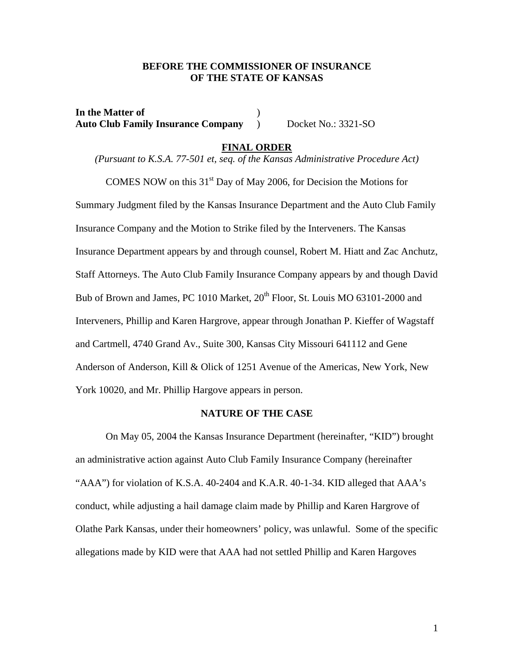## **BEFORE THE COMMISSIONER OF INSURANCE OF THE STATE OF KANSAS**

**In the Matter of** ) **Auto Club Family Insurance Company** ) Docket No.: 3321-SO

## **FINAL ORDER**

*(Pursuant to K.S.A. 77-501 et, seq. of the Kansas Administrative Procedure Act)* 

COMES NOW on this  $31<sup>st</sup>$  Day of May 2006, for Decision the Motions for Summary Judgment filed by the Kansas Insurance Department and the Auto Club Family Insurance Company and the Motion to Strike filed by the Interveners. The Kansas Insurance Department appears by and through counsel, Robert M. Hiatt and Zac Anchutz, Staff Attorneys. The Auto Club Family Insurance Company appears by and though David Bub of Brown and James, PC 1010 Market, 20<sup>th</sup> Floor, St. Louis MO 63101-2000 and Interveners, Phillip and Karen Hargrove, appear through Jonathan P. Kieffer of Wagstaff and Cartmell, 4740 Grand Av., Suite 300, Kansas City Missouri 641112 and Gene Anderson of Anderson, Kill & Olick of 1251 Avenue of the Americas, New York, New York 10020, and Mr. Phillip Hargove appears in person.

## **NATURE OF THE CASE**

 On May 05, 2004 the Kansas Insurance Department (hereinafter, "KID") brought an administrative action against Auto Club Family Insurance Company (hereinafter "AAA") for violation of K.S.A. 40-2404 and K.A.R. 40-1-34. KID alleged that AAA's conduct, while adjusting a hail damage claim made by Phillip and Karen Hargrove of Olathe Park Kansas, under their homeowners' policy, was unlawful. Some of the specific allegations made by KID were that AAA had not settled Phillip and Karen Hargoves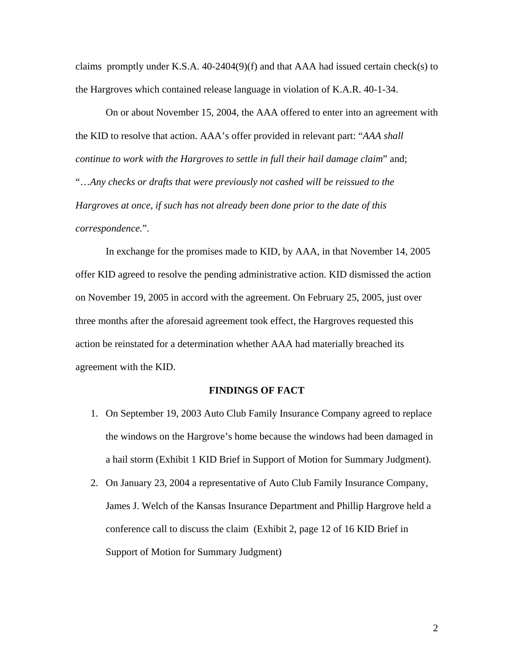claims promptly under K.S.A. 40-2404(9)(f) and that AAA had issued certain check(s) to the Hargroves which contained release language in violation of K.A.R. 40-1-34.

 On or about November 15, 2004, the AAA offered to enter into an agreement with the KID to resolve that action. AAA's offer provided in relevant part: "*AAA shall continue to work with the Hargroves to settle in full their hail damage claim*" and; "…*Any checks or drafts that were previously not cashed will be reissued to the Hargroves at once, if such has not already been done prior to the date of this correspondence.*".

 In exchange for the promises made to KID, by AAA, in that November 14, 2005 offer KID agreed to resolve the pending administrative action. KID dismissed the action on November 19, 2005 in accord with the agreement. On February 25, 2005, just over three months after the aforesaid agreement took effect, the Hargroves requested this action be reinstated for a determination whether AAA had materially breached its agreement with the KID.

### **FINDINGS OF FACT**

- 1. On September 19, 2003 Auto Club Family Insurance Company agreed to replace the windows on the Hargrove's home because the windows had been damaged in a hail storm (Exhibit 1 KID Brief in Support of Motion for Summary Judgment).
- 2. On January 23, 2004 a representative of Auto Club Family Insurance Company, James J. Welch of the Kansas Insurance Department and Phillip Hargrove held a conference call to discuss the claim (Exhibit 2, page 12 of 16 KID Brief in Support of Motion for Summary Judgment)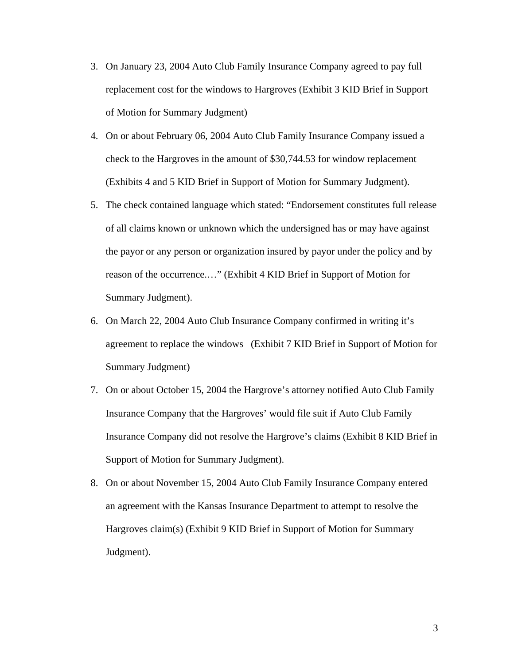- 3. On January 23, 2004 Auto Club Family Insurance Company agreed to pay full replacement cost for the windows to Hargroves (Exhibit 3 KID Brief in Support of Motion for Summary Judgment)
- 4. On or about February 06, 2004 Auto Club Family Insurance Company issued a check to the Hargroves in the amount of \$30,744.53 for window replacement (Exhibits 4 and 5 KID Brief in Support of Motion for Summary Judgment).
- 5. The check contained language which stated: "Endorsement constitutes full release of all claims known or unknown which the undersigned has or may have against the payor or any person or organization insured by payor under the policy and by reason of the occurrence.…" (Exhibit 4 KID Brief in Support of Motion for Summary Judgment).
- 6. On March 22, 2004 Auto Club Insurance Company confirmed in writing it's agreement to replace the windows (Exhibit 7 KID Brief in Support of Motion for Summary Judgment)
- 7. On or about October 15, 2004 the Hargrove's attorney notified Auto Club Family Insurance Company that the Hargroves' would file suit if Auto Club Family Insurance Company did not resolve the Hargrove's claims (Exhibit 8 KID Brief in Support of Motion for Summary Judgment).
- 8. On or about November 15, 2004 Auto Club Family Insurance Company entered an agreement with the Kansas Insurance Department to attempt to resolve the Hargroves claim(s) (Exhibit 9 KID Brief in Support of Motion for Summary Judgment).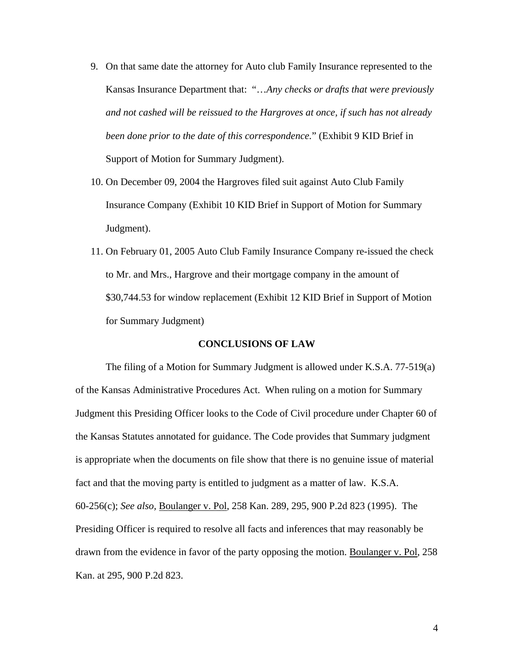- 9. On that same date the attorney for Auto club Family Insurance represented to the Kansas Insurance Department that: "…*Any checks or drafts that were previously and not cashed will be reissued to the Hargroves at once, if such has not already been done prior to the date of this correspondence.*" (Exhibit 9 KID Brief in Support of Motion for Summary Judgment).
- 10. On December 09, 2004 the Hargroves filed suit against Auto Club Family Insurance Company (Exhibit 10 KID Brief in Support of Motion for Summary Judgment).
- 11. On February 01, 2005 Auto Club Family Insurance Company re-issued the check to Mr. and Mrs., Hargrove and their mortgage company in the amount of \$30,744.53 for window replacement (Exhibit 12 KID Brief in Support of Motion for Summary Judgment)

## **CONCLUSIONS OF LAW**

 The filing of a Motion for Summary Judgment is allowed under K.S.A. 77-519(a) of the Kansas Administrative Procedures Act. When ruling on a motion for Summary Judgment this Presiding Officer looks to the Code of Civil procedure under Chapter 60 of the Kansas Statutes annotated for guidance. The Code provides that Summary judgment is appropriate when the documents on file show that there is no genuine issue of material fact and that the moving party is entitled to judgment as a matter of law. K.S.A. 60-256(c); *See also,* Boulanger v. Pol, 258 Kan. 289, 295, 900 P.2d 823 (1995). The Presiding Officer is required to resolve all facts and inferences that may reasonably be drawn from the evidence in favor of the party opposing the motion. Boulanger v. Pol, 258 Kan. at 295, 900 P.2d 823.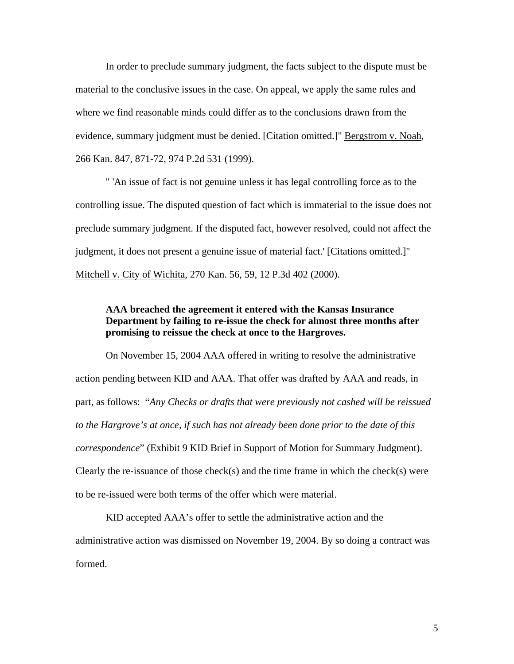In order to preclude summary judgment, the facts subject to the dispute must be material to the conclusive issues in the case. On appeal, we apply the same rules and where we find reasonable minds could differ as to the conclusions drawn from the evidence, summary judgment must be denied. [Citation omitted.]" Bergstrom v. Noah*,* 266 Kan. 847, 871-72, 974 P.2d 531 (1999).

 " 'An issue of fact is not genuine unless it has legal controlling force as to the controlling issue. The disputed question of fact which is immaterial to the issue does not preclude summary judgment. If the disputed fact, however resolved, could not affect the judgment, it does not present a genuine issue of material fact.' [Citations omitted.]" Mitchell v. City of Wichita*,* 270 Kan. 56, 59, 12 P.3d 402 (2000).

# **AAA breached the agreement it entered with the Kansas Insurance Department by failing to re-issue the check for almost three months after promising to reissue the check at once to the Hargroves.**

 On November 15, 2004 AAA offered in writing to resolve the administrative action pending between KID and AAA. That offer was drafted by AAA and reads, in part, as follows: "*Any Checks or drafts that were previously not cashed will be reissued to the Hargrove's at once, if such has not already been done prior to the date of this correspondence*" (Exhibit 9 KID Brief in Support of Motion for Summary Judgment). Clearly the re-issuance of those check(s) and the time frame in which the check(s) were to be re-issued were both terms of the offer which were material.

 KID accepted AAA's offer to settle the administrative action and the administrative action was dismissed on November 19, 2004. By so doing a contract was formed.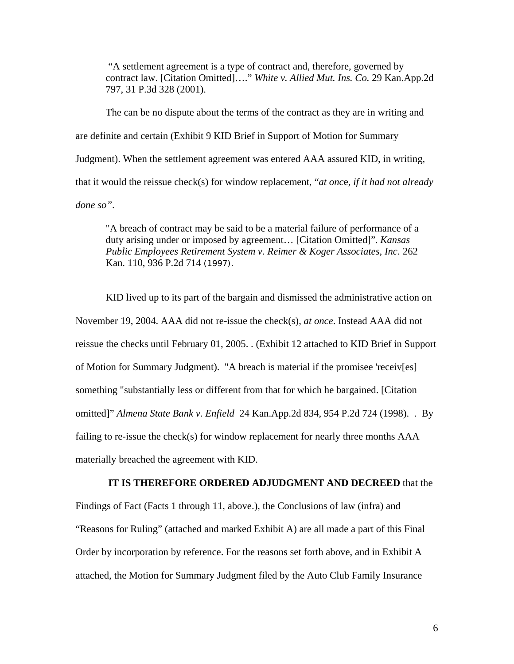"A settlement agreement is a type of contract and, therefore, governed by contract law. [Citation Omitted]…." *White v. Allied Mut. Ins. Co.* 29 Kan.App.2d 797, 31 P.3d 328 (2001).

 The can be no dispute about the terms of the contract as they are in writing and are definite and certain (Exhibit 9 KID Brief in Support of Motion for Summary Judgment). When the settlement agreement was entered AAA assured KID, in writing, that it would the reissue check(s) for window replacement, "*at onc*e, *if it had not already done so"*.

 "A breach of contract may be said to be a material failure of performance of a duty arising under or imposed by agreement… [Citation Omitted]". *Kansas Public Employees Retirement System v. Reimer & Koger Associates, Inc*. 262 Kan. 110, 936 P.2d 714 (1997).

 KID lived up to its part of the bargain and dismissed the administrative action on November 19, 2004. AAA did not re-issue the check(s), *at once*. Instead AAA did not reissue the checks until February 01, 2005. . (Exhibit 12 attached to KID Brief in Support of Motion for Summary Judgment). "A breach is material if the promisee 'receiv[es] something "substantially less or different from that for which he bargained. [Citation omitted]" *Almena State Bank v. Enfield* 24 Kan.App.2d 834, 954 P.2d 724 (1998). . By failing to re-issue the check(s) for window replacement for nearly three months AAA materially breached the agreement with KID.

#### **IT IS THEREFORE ORDERED ADJUDGMENT AND DECREED** that the

Findings of Fact (Facts 1 through 11, above.), the Conclusions of law (infra) and "Reasons for Ruling" (attached and marked Exhibit A) are all made a part of this Final Order by incorporation by reference. For the reasons set forth above, and in Exhibit A attached, the Motion for Summary Judgment filed by the Auto Club Family Insurance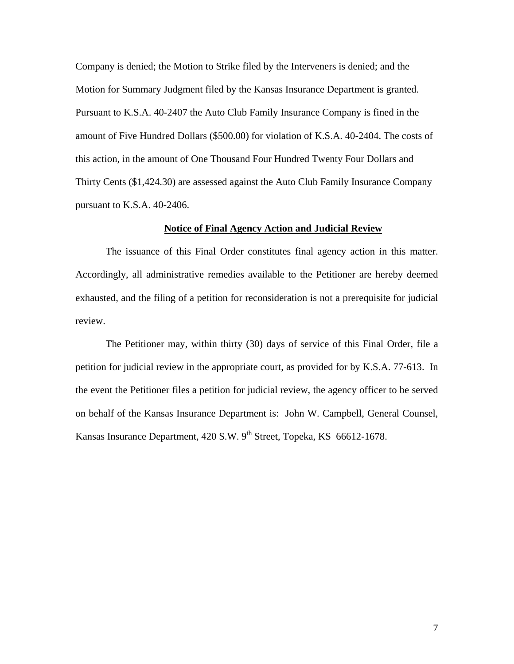Company is denied; the Motion to Strike filed by the Interveners is denied; and the Motion for Summary Judgment filed by the Kansas Insurance Department is granted. Pursuant to K.S.A. 40-2407 the Auto Club Family Insurance Company is fined in the amount of Five Hundred Dollars (\$500.00) for violation of K.S.A. 40-2404. The costs of this action, in the amount of One Thousand Four Hundred Twenty Four Dollars and Thirty Cents (\$1,424.30) are assessed against the Auto Club Family Insurance Company pursuant to K.S.A. 40-2406.

## **Notice of Final Agency Action and Judicial Review**

The issuance of this Final Order constitutes final agency action in this matter. Accordingly, all administrative remedies available to the Petitioner are hereby deemed exhausted, and the filing of a petition for reconsideration is not a prerequisite for judicial review.

The Petitioner may, within thirty (30) days of service of this Final Order, file a petition for judicial review in the appropriate court, as provided for by K.S.A. 77-613. In the event the Petitioner files a petition for judicial review, the agency officer to be served on behalf of the Kansas Insurance Department is: John W. Campbell, General Counsel, Kansas Insurance Department, 420 S.W. 9<sup>th</sup> Street, Topeka, KS 66612-1678.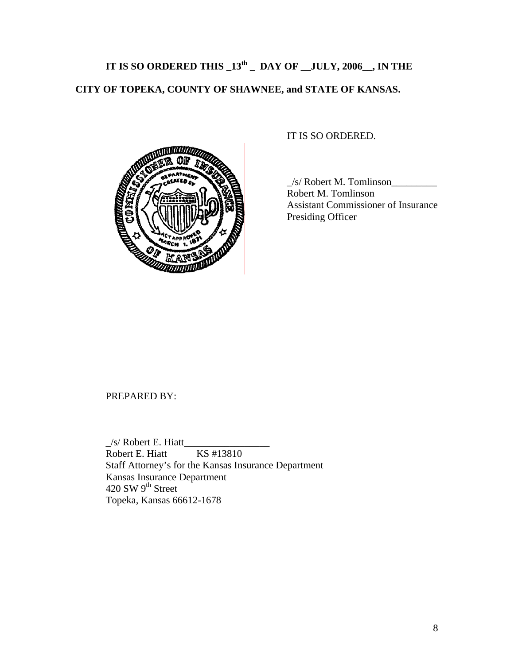# **IT IS SO ORDERED THIS \_13th \_ DAY OF \_\_JULY, 2006\_\_, IN THE CITY OF TOPEKA, COUNTY OF SHAWNEE, and STATE OF KANSAS.**



IT IS SO ORDERED.

 \_/s/ Robert M. Tomlinson\_\_\_\_\_\_\_\_\_ Robert M. Tomlinson Assistant Commissioner of Insurance Presiding Officer

## PREPARED BY:

 \_/s/ Robert E. Hiatt\_\_\_\_\_\_\_\_\_\_\_\_\_\_\_\_\_ Robert E. Hiatt KS #13810 Staff Attorney's for the Kansas Insurance Department Kansas Insurance Department 420 SW  $9<sup>th</sup>$  Street Topeka, Kansas 66612-1678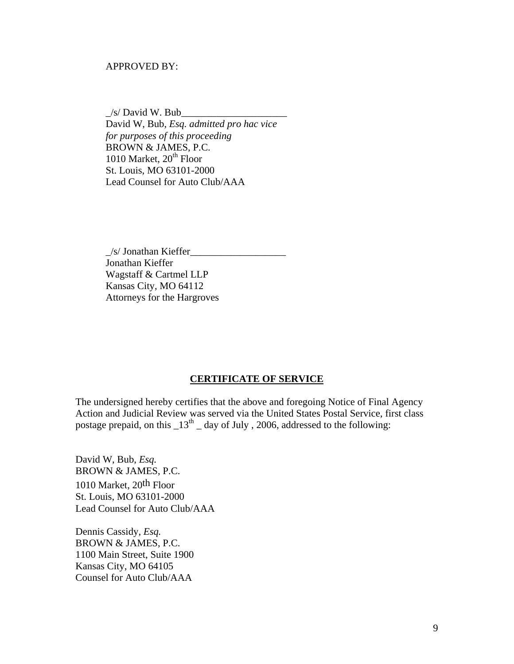## APPROVED BY:

 $\angle$ s/ David W. Bub $\Box$  David W, Bub, *Esq. admitted pro hac vice for purposes of this proceeding* BROWN & JAMES, P.C. 1010 Market,  $20<sup>th</sup>$  Floor St. Louis, MO 63101-2000 Lead Counsel for Auto Club/AAA

 \_/s/ Jonathan Kieffer\_\_\_\_\_\_\_\_\_\_\_\_\_\_\_\_\_\_\_ Jonathan Kieffer Wagstaff & Cartmel LLP Kansas City, MO 64112 Attorneys for the Hargroves

#### **CERTIFICATE OF SERVICE**

The undersigned hereby certifies that the above and foregoing Notice of Final Agency Action and Judicial Review was served via the United States Postal Service, first class postage prepaid, on this  $13<sup>th</sup>$  day of July , 2006, addressed to the following:

David W, Bub, *Esq.*  BROWN & JAMES, P.C. 1010 Market, 20th Floor St. Louis, MO 63101-2000 Lead Counsel for Auto Club/AAA

Dennis Cassidy, *Esq.*  BROWN & JAMES, P.C. 1100 Main Street, Suite 1900 Kansas City, MO 64105 Counsel for Auto Club/AAA